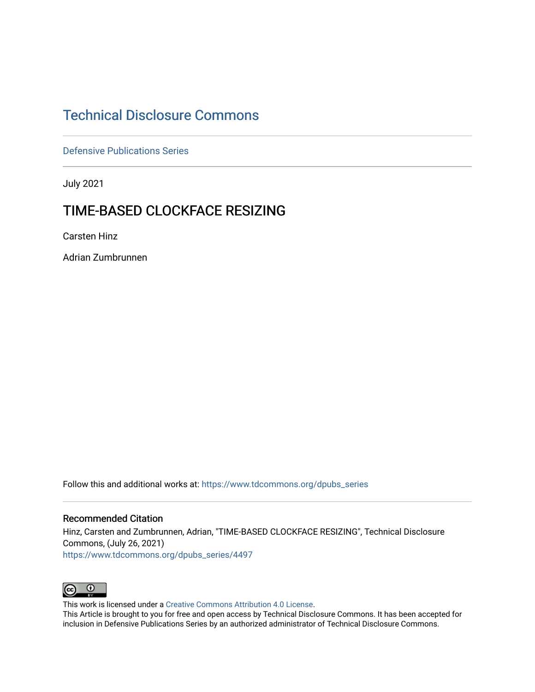# [Technical Disclosure Commons](https://www.tdcommons.org/)

[Defensive Publications Series](https://www.tdcommons.org/dpubs_series)

July 2021

# TIME-BASED CLOCKFACE RESIZING

Carsten Hinz

Adrian Zumbrunnen

Follow this and additional works at: [https://www.tdcommons.org/dpubs\\_series](https://www.tdcommons.org/dpubs_series?utm_source=www.tdcommons.org%2Fdpubs_series%2F4497&utm_medium=PDF&utm_campaign=PDFCoverPages) 

#### Recommended Citation

Hinz, Carsten and Zumbrunnen, Adrian, "TIME-BASED CLOCKFACE RESIZING", Technical Disclosure Commons, (July 26, 2021) [https://www.tdcommons.org/dpubs\\_series/4497](https://www.tdcommons.org/dpubs_series/4497?utm_source=www.tdcommons.org%2Fdpubs_series%2F4497&utm_medium=PDF&utm_campaign=PDFCoverPages)



This work is licensed under a [Creative Commons Attribution 4.0 License](http://creativecommons.org/licenses/by/4.0/deed.en_US).

This Article is brought to you for free and open access by Technical Disclosure Commons. It has been accepted for inclusion in Defensive Publications Series by an authorized administrator of Technical Disclosure Commons.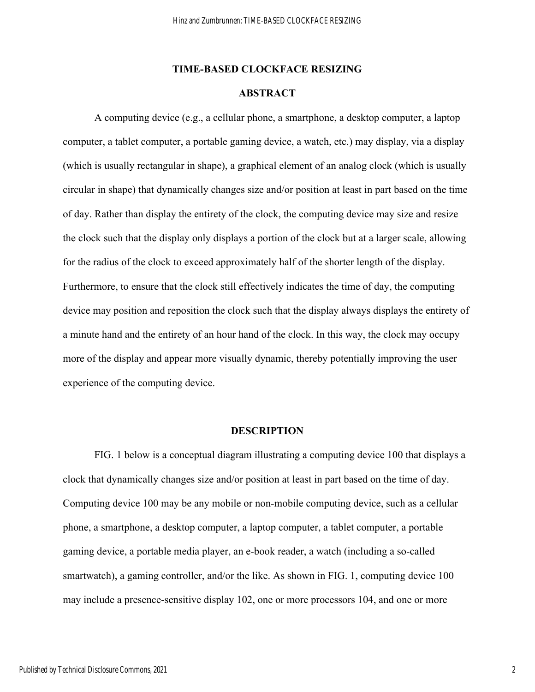### **TIME-BASED CLOCKFACE RESIZING**

### **ABSTRACT**

A computing device (e.g., a cellular phone, a smartphone, a desktop computer, a laptop computer, a tablet computer, a portable gaming device, a watch, etc.) may display, via a display (which is usually rectangular in shape), a graphical element of an analog clock (which is usually circular in shape) that dynamically changes size and/or position at least in part based on the time of day. Rather than display the entirety of the clock, the computing device may size and resize the clock such that the display only displays a portion of the clock but at a larger scale, allowing for the radius of the clock to exceed approximately half of the shorter length of the display. Furthermore, to ensure that the clock still effectively indicates the time of day, the computing device may position and reposition the clock such that the display always displays the entirety of a minute hand and the entirety of an hour hand of the clock. In this way, the clock may occupy more of the display and appear more visually dynamic, thereby potentially improving the user experience of the computing device.

#### **DESCRIPTION**

 FIG. 1 below is a conceptual diagram illustrating a computing device 100 that displays a clock that dynamically changes size and/or position at least in part based on the time of day. Computing device 100 may be any mobile or non-mobile computing device, such as a cellular phone, a smartphone, a desktop computer, a laptop computer, a tablet computer, a portable gaming device, a portable media player, an e-book reader, a watch (including a so-called smartwatch), a gaming controller, and/or the like. As shown in FIG. 1, computing device 100 may include a presence-sensitive display 102, one or more processors 104, and one or more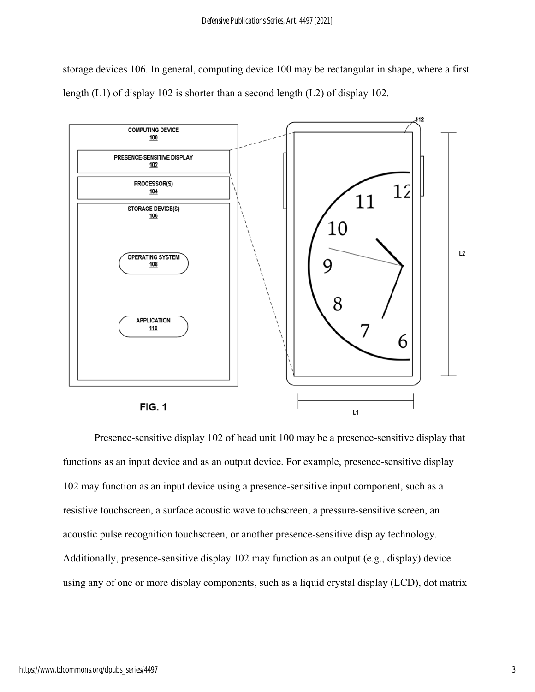storage devices 106. In general, computing device 100 may be rectangular in shape, where a first length (L1) of display 102 is shorter than a second length (L2) of display 102.



Presence-sensitive display 102 of head unit 100 may be a presence-sensitive display that functions as an input device and as an output device. For example, presence-sensitive display 102 may function as an input device using a presence-sensitive input component, such as a resistive touchscreen, a surface acoustic wave touchscreen, a pressure-sensitive screen, an acoustic pulse recognition touchscreen, or another presence-sensitive display technology. Additionally, presence-sensitive display 102 may function as an output (e.g., display) device using any of one or more display components, such as a liquid crystal display (LCD), dot matrix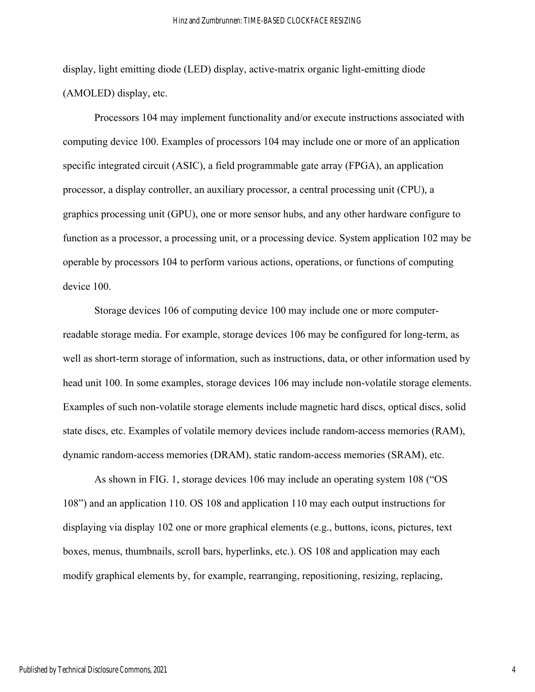display, light emitting diode (LED) display, active-matrix organic light-emitting diode (AMOLED) display, etc.

Processors 104 may implement functionality and/or execute instructions associated with computing device 100. Examples of processors 104 may include one or more of an application specific integrated circuit (ASIC), a field programmable gate array (FPGA), an application processor, a display controller, an auxiliary processor, a central processing unit (CPU), a graphics processing unit (GPU), one or more sensor hubs, and any other hardware configure to function as a processor, a processing unit, or a processing device. System application 102 may be operable by processors 104 to perform various actions, operations, or functions of computing device 100.

Storage devices 106 of computing device 100 may include one or more computerreadable storage media. For example, storage devices 106 may be configured for long-term, as well as short-term storage of information, such as instructions, data, or other information used by head unit 100. In some examples, storage devices 106 may include non-volatile storage elements. Examples of such non-volatile storage elements include magnetic hard discs, optical discs, solid state discs, etc. Examples of volatile memory devices include random-access memories (RAM), dynamic random-access memories (DRAM), static random-access memories (SRAM), etc.

As shown in FIG. 1, storage devices 106 may include an operating system 108 ("OS 108") and an application 110. OS 108 and application 110 may each output instructions for displaying via display 102 one or more graphical elements (e.g., buttons, icons, pictures, text boxes, menus, thumbnails, scroll bars, hyperlinks, etc.). OS 108 and application may each modify graphical elements by, for example, rearranging, repositioning, resizing, replacing,

4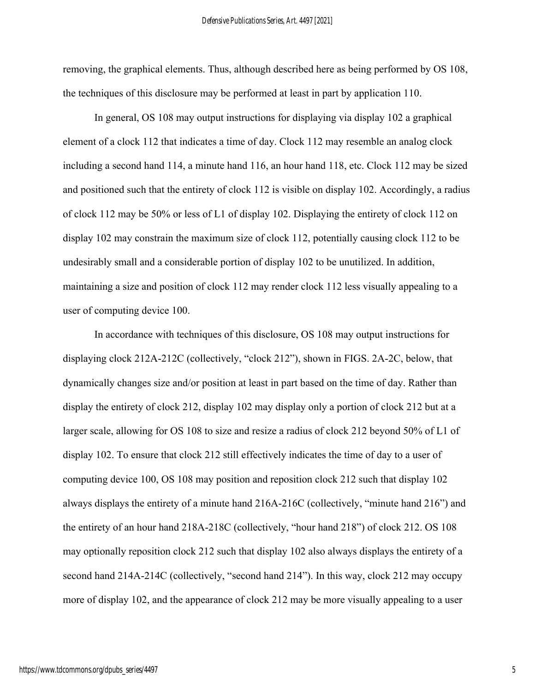removing, the graphical elements. Thus, although described here as being performed by OS 108, the techniques of this disclosure may be performed at least in part by application 110.

In general, OS 108 may output instructions for displaying via display 102 a graphical element of a clock 112 that indicates a time of day. Clock 112 may resemble an analog clock including a second hand 114, a minute hand 116, an hour hand 118, etc. Clock 112 may be sized and positioned such that the entirety of clock 112 is visible on display 102. Accordingly, a radius of clock 112 may be 50% or less of L1 of display 102. Displaying the entirety of clock 112 on display 102 may constrain the maximum size of clock 112, potentially causing clock 112 to be undesirably small and a considerable portion of display 102 to be unutilized. In addition, maintaining a size and position of clock 112 may render clock 112 less visually appealing to a user of computing device 100.

In accordance with techniques of this disclosure, OS 108 may output instructions for displaying clock 212A-212C (collectively, "clock 212"), shown in FIGS. 2A-2C, below, that dynamically changes size and/or position at least in part based on the time of day. Rather than display the entirety of clock 212, display 102 may display only a portion of clock 212 but at a larger scale, allowing for OS 108 to size and resize a radius of clock 212 beyond 50% of L1 of display 102. To ensure that clock 212 still effectively indicates the time of day to a user of computing device 100, OS 108 may position and reposition clock 212 such that display 102 always displays the entirety of a minute hand 216A-216C (collectively, "minute hand 216") and the entirety of an hour hand 218A-218C (collectively, "hour hand 218") of clock 212. OS 108 may optionally reposition clock 212 such that display 102 also always displays the entirety of a second hand 214A-214C (collectively, "second hand 214"). In this way, clock 212 may occupy more of display 102, and the appearance of clock 212 may be more visually appealing to a user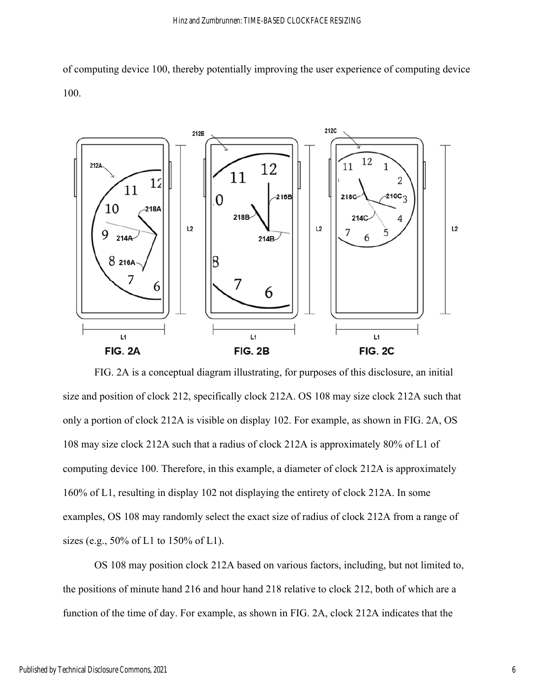of computing device 100, thereby potentially improving the user experience of computing device 100.



FIG. 2A is a conceptual diagram illustrating, for purposes of this disclosure, an initial size and position of clock 212, specifically clock 212A. OS 108 may size clock 212A such that only a portion of clock 212A is visible on display 102. For example, as shown in FIG. 2A, OS 108 may size clock 212A such that a radius of clock 212A is approximately 80% of L1 of computing device 100. Therefore, in this example, a diameter of clock 212A is approximately 160% of L1, resulting in display 102 not displaying the entirety of clock 212A. In some examples, OS 108 may randomly select the exact size of radius of clock 212A from a range of sizes (e.g., 50% of L1 to 150% of L1).

OS 108 may position clock 212A based on various factors, including, but not limited to, the positions of minute hand 216 and hour hand 218 relative to clock 212, both of which are a function of the time of day. For example, as shown in FIG. 2A, clock 212A indicates that the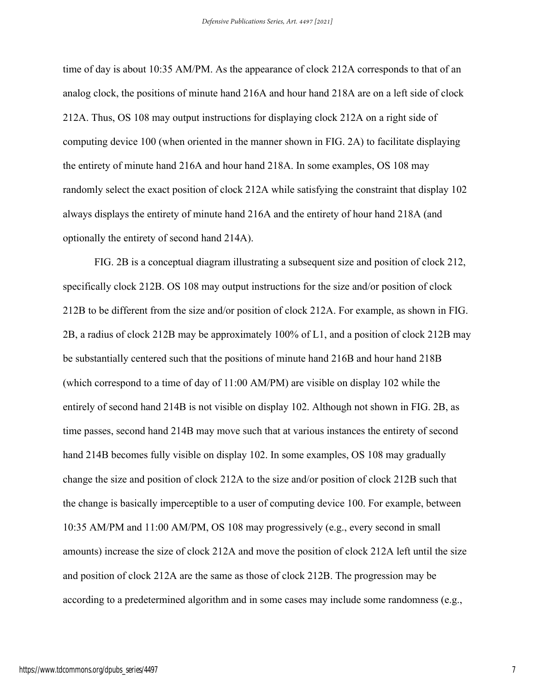time of day is about 10:35 AM/PM. As the appearance of clock 212A corresponds to that of an analog clock, the positions of minute hand 216A and hour hand 218A are on a left side of clock 212A. Thus, OS 108 may output instructions for displaying clock 212A on a right side of computing device 100 (when oriented in the manner shown in FIG. 2A) to facilitate displaying the entirety of minute hand 216A and hour hand 218A. In some examples, OS 108 may randomly select the exact position of clock 212A while satisfying the constraint that display 102 always displays the entirety of minute hand 216A and the entirety of hour hand 218A (and optionally the entirety of second hand 214A).

FIG. 2B is a conceptual diagram illustrating a subsequent size and position of clock 212, specifically clock 212B. OS 108 may output instructions for the size and/or position of clock 212B to be different from the size and/or position of clock 212A. For example, as shown in FIG. 2B, a radius of clock 212B may be approximately 100% of L1, and a position of clock 212B may be substantially centered such that the positions of minute hand 216B and hour hand 218B (which correspond to a time of day of 11:00 AM/PM) are visible on display 102 while the entirely of second hand 214B is not visible on display 102. Although not shown in FIG. 2B, as time passes, second hand 214B may move such that at various instances the entirety of second hand 214B becomes fully visible on display 102. In some examples, OS 108 may gradually change the size and position of clock 212A to the size and/or position of clock 212B such that the change is basically imperceptible to a user of computing device 100. For example, between 10:35 AM/PM and 11:00 AM/PM, OS 108 may progressively (e.g., every second in small amounts) increase the size of clock 212A and move the position of clock 212A left until the size and position of clock 212A are the same as those of clock 212B. The progression may be according to a predetermined algorithm and in some cases may include some randomness (e.g.,